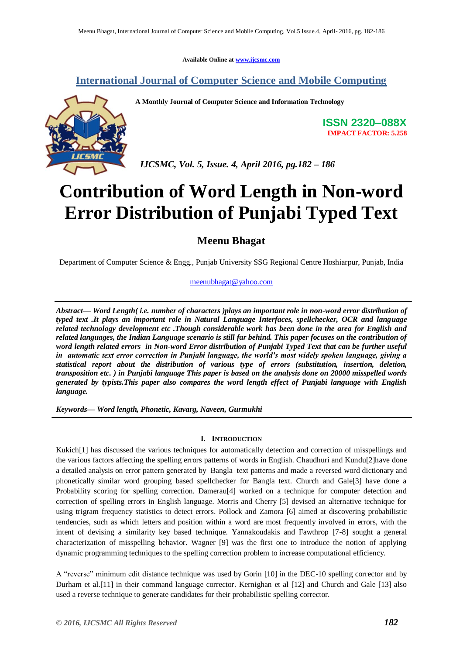**Available Online at [www.ijcsmc.com](http://www.ijcsmc.com/)**

## **International Journal of Computer Science and Mobile Computing**

**A Monthly Journal of Computer Science and Information Technology**

**ISSN 2320–088X IMPACT FACTOR: 5.258**

 *IJCSMC, Vol. 5, Issue. 4, April 2016, pg.182 – 186*

# **Contribution of Word Length in Non-word Error Distribution of Punjabi Typed Text**

**Meenu Bhagat**

Department of Computer Science & Engg., Punjab University SSG Regional Centre Hoshiarpur, Punjab, India

## [meenubhagat@yahoo.com](mailto:meenubhagat@yahoo.com)

*Abstract— Word Length( i.e. number of characters )plays an important role in non-word error distribution of typed text .It plays an important role in Natural Language Interfaces, spellchecker, OCR and language related technology development etc .Though considerable work has been done in the area for English and related languages, the Indian Language scenario is still far behind. This paper focuses on the contribution of word length related errors in Non-word Error distribution of Punjabi Typed Text that can be further useful in automatic text error correction in Punjabi language, the world's most widely spoken language, giving a statistical report about the distribution of various type of errors (substitution, insertion, deletion, transposition etc. ) in Punjabi language This paper is based on the analysis done on 20000 misspelled words generated by typists.This paper also compares the word length effect of Punjabi language with English language.*

*Keywords— Word length, Phonetic, Kavarg, Naveen, Gurmukhi*

## **I. INTRODUCTION**

Kukich[1] has discussed the various techniques for automatically detection and correction of misspellings and the various factors affecting the spelling errors patterns of words in English. Chaudhuri and Kundu[2]have done a detailed analysis on error pattern generated by Bangla text patterns and made a reversed word dictionary and phonetically similar word grouping based spellchecker for Bangla text. Church and Gale[3] have done a Probability scoring for spelling correction. Damerau<sup>[4]</sup> worked on a technique for computer detection and correction of spelling errors in English language. Morris and Cherry [5] devised an alternative technique for using trigram frequency statistics to detect errors. Pollock and Zamora [6] aimed at discovering probabilistic tendencies, such as which letters and position within a word are most frequently involved in errors, with the intent of devising a similarity key based technique. Yannakoudakis and Fawthrop [7-8] sought a general characterization of misspelling behavior. Wagner [9] was the first one to introduce the notion of applying dynamic programming techniques to the spelling correction problem to increase computational efficiency.

A "reverse" minimum edit distance technique was used by Gorin [10] in the DEC-10 spelling corrector and by Durham et al.[11] in their command language corrector. Kernighan et al [12] and Church and Gale [13] also used a reverse technique to generate candidates for their probabilistic spelling corrector.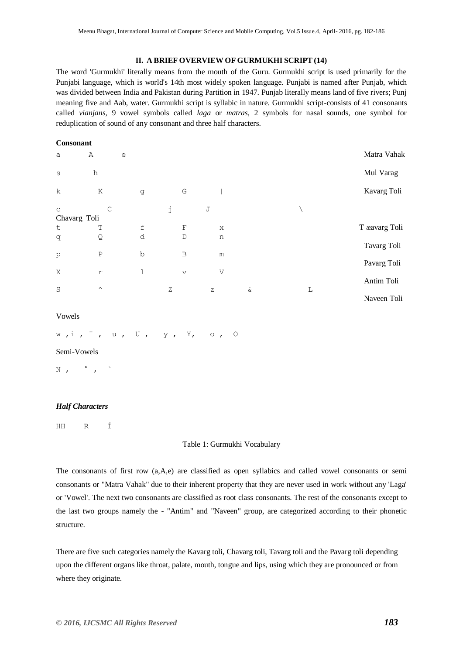#### **II. A BRIEF OVERVIEW OF GURMUKHI SCRIPT (14)**

The word 'Gurmukhi' literally means from the mouth of the Guru. Gurmukhi script is used primarily for the Punjabi language, which is world's 14th most widely spoken language. Punjabi is named after Punjab, which was divided between India and Pakistan during Partition in 1947. Punjab literally means land of five rivers; Punj meaning five and Aab, water. Gurmukhi script is syllabic in nature. Gurmukhi script-consists of 41 consonants called *vianjans*, 9 vowel symbols called *laga* or *matras*, 2 symbols for nasal sounds, one symbol for reduplication of sound of any consonant and three half characters.

#### **Consonant**

| a                           | Α                | $\mathrel{\mathop{\mathrm{e}}\nolimits}$ |                         |             |      |   | Matra Vahak   |
|-----------------------------|------------------|------------------------------------------|-------------------------|-------------|------|---|---------------|
| $\mathtt{s}$                | h                |                                          |                         |             |      |   | Mul Varag     |
| $\mathbf k$                 | Κ                | g                                        | G                       |             |      |   | Kavarg Toli   |
| $\mathsf C$<br>Chavarg Toli | C                |                                          | j                       | $\mathbb J$ |      |   |               |
| $\sf t$                     | $\mathbb T$      | $\ensuremath{\mathbf{f}}$                | $\mathbf F$             | $\rm X$     |      |   | T æavarg Toli |
| q                           | Q                | d                                        | $\mathbb D$             | n           |      |   |               |
|                             |                  |                                          |                         |             |      |   | Tavarg Toli   |
| $\rm p$                     | $\, {\mathbb P}$ | b                                        | B                       | ${\rm m}$   |      |   | Pavarg Toli   |
| X                           | $\Upsilon$       | $\mathbf 1$                              | $\overline{\mathbf{V}}$ | V           |      |   |               |
|                             |                  |                                          |                         |             |      |   | Antim Toli    |
| $\mathbf S$                 | $\land$          |                                          | Ζ                       | $\mathbf Z$ | $\&$ | L |               |
|                             |                  |                                          |                         |             |      |   | Naveen Toli   |

#### Vowels

#### w ,i , I , u , U , y , Y, o , O

Semi-Vowels

N,  $\circ$ ,

## *Half Characters*

HH R Í

#### Table 1: Gurmukhi Vocabulary

The consonants of first row (a,A,e) are classified as open syllabics and called vowel consonants or semi consonants or "Matra Vahak" due to their inherent property that they are never used in work without any 'Laga' or 'Vowel'. The next two consonants are classified as root class consonants. The rest of the consonants except to the last two groups namely the - "Antim" and "Naveen" group, are categorized according to their phonetic structure.

There are five such categories namely the Kavarg toli, Chavarg toli, Tavarg toli and the Pavarg toli depending upon the different organs like throat, palate, mouth, tongue and lips, using which they are pronounced or from where they originate.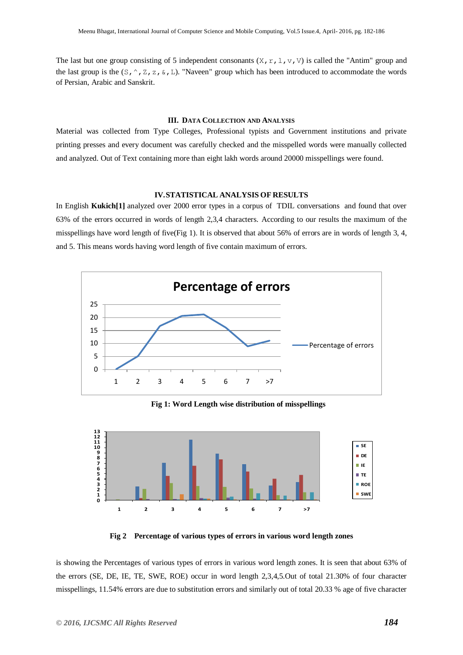The last but one group consisting of 5 independent consonants  $(X, r, 1, v, V)$  is called the "Antim" group and the last group is the  $(S, \hat{\ } , Z, Z, \hat{\ } , L)$ . "Naveen" group which has been introduced to accommodate the words of Persian, Arabic and Sanskrit.

#### **III. DATA COLLECTION AND ANALYSIS**

Material was collected from Type Colleges, Professional typists and Government institutions and private printing presses and every document was carefully checked and the misspelled words were manually collected and analyzed. Out of Text containing more than eight lakh words around 20000 misspellings were found.

#### **IV.STATISTICAL ANALYSIS OF RESULTS**

In English **Kukich[1]** analyzed over 2000 error types in a corpus of TDIL conversations and found that over 63% of the errors occurred in words of length 2,3,4 characters. According to our results the maximum of the misspellings have word length of five(Fig 1). It is observed that about 56% of errors are in words of length 3, 4, and 5. This means words having word length of five contain maximum of errors.



**Fig 1: Word Length wise distribution of misspellings**



**Fig 2 Percentage of various types of errors in various word length zones**

is showing the Percentages of various types of errors in various word length zones. It is seen that about 63% of the errors (SE, DE, IE, TE, SWE, ROE) occur in word length 2,3,4,5.Out of total 21.30% of four character misspellings, 11.54% errors are due to substitution errors and similarly out of total 20.33 % age of five character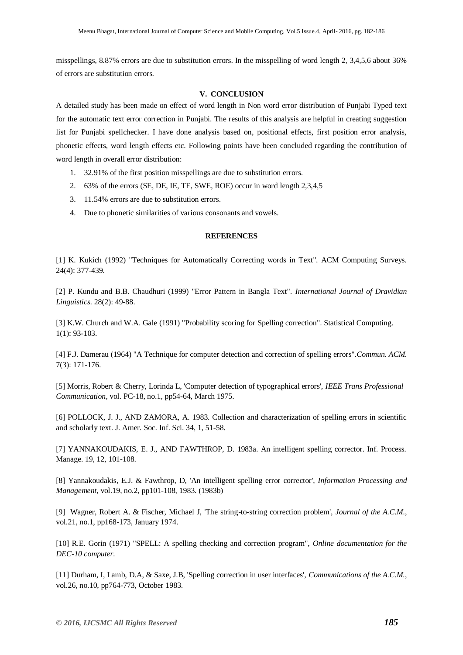misspellings, 8.87% errors are due to substitution errors. In the misspelling of word length 2, 3,4,5,6 about 36% of errors are substitution errors.

## **V. CONCLUSION**

A detailed study has been made on effect of word length in Non word error distribution of Punjabi Typed text for the automatic text error correction in Punjabi. The results of this analysis are helpful in creating suggestion list for Punjabi spellchecker. I have done analysis based on, positional effects, first position error analysis, phonetic effects, word length effects etc. Following points have been concluded regarding the contribution of word length in overall error distribution:

- 1. 32.91% of the first position misspellings are due to substitution errors.
- 2. 63% of the errors (SE, DE, IE, TE, SWE, ROE) occur in word length 2,3,4,5
- 3. 11.54% errors are due to substitution errors.
- 4. Due to phonetic similarities of various consonants and vowels.

### **REFERENCES**

[1] K. Kukich (1992) "Techniques for Automatically Correcting words in Text". ACM Computing Surveys. 24(4): 377-439.

[2] P. Kundu and B.B. Chaudhuri (1999) "Error Pattern in Bangla Text". *International Journal of Dravidian Linguistics*. 28(2): 49-88.

[3] K.W. Church and W.A. Gale (1991) "Probability scoring for Spelling correction". Statistical Computing. 1(1): 93-103.

[4] F.J. Damerau (1964) "A Technique for computer detection and correction of spelling errors".*Commun. ACM.*  7(3): 171-176.

[5] Morris, Robert & Cherry, Lorinda L, 'Computer detection of typographical errors', *IEEE Trans Professional Communication*, vol. PC-18, no.1, pp54-64, March 1975.

[6] POLLOCK, J. J., AND ZAMORA, A. 1983. Collection and characterization of spelling errors in scientific and scholarly text. J. Amer. Soc. Inf. Sci. 34, 1, 51-58.

[7] YANNAKOUDAKIS, E. J., AND FAWTHROP, D. 1983a. An intelligent spelling corrector. Inf. Process. Manage. 19, 12, 101-108.

[8] Yannakoudakis, E.J. & Fawthrop, D, 'An intelligent spelling error corrector', *Information Processing and Management*, vol.19, no.2, pp101-108, 1983. (1983b)

[9] Wagner, Robert A. & Fischer, Michael J, 'The string-to-string correction problem', *Journal of the A.C.M.*, vol.21, no.1, pp168-173, January 1974.

[10] R.E. Gorin (1971) "SPELL: A spelling checking and correction program", *Online documentation for the DEC-10 computer.*

[11] Durham, I, Lamb, D.A, & Saxe, J.B, 'Spelling correction in user interfaces', *Communications of the A.C.M.*, vol.26, no.10, pp764-773, October 1983.